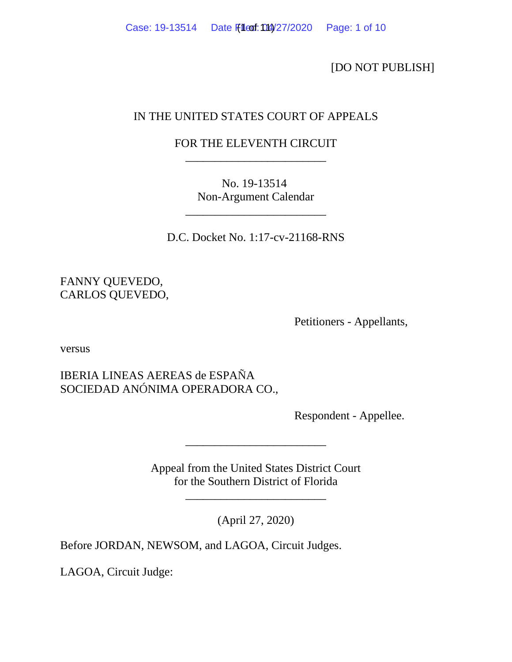[DO NOT PUBLISH]

# IN THE UNITED STATES COURT OF APPEALS

# FOR THE ELEVENTH CIRCUIT \_\_\_\_\_\_\_\_\_\_\_\_\_\_\_\_\_\_\_\_\_\_\_\_

No. 19-13514 Non-Argument Calendar

\_\_\_\_\_\_\_\_\_\_\_\_\_\_\_\_\_\_\_\_\_\_\_\_

D.C. Docket No. 1:17-cv-21168-RNS

FANNY QUEVEDO, CARLOS QUEVEDO,

Petitioners - Appellants,

versus

IBERIA LINEAS AEREAS de ESPAÑA SOCIEDAD ANÓNIMA OPERADORA CO.,

Respondent - Appellee.

Appeal from the United States District Court for the Southern District of Florida

\_\_\_\_\_\_\_\_\_\_\_\_\_\_\_\_\_\_\_\_\_\_\_\_

(April 27, 2020)

\_\_\_\_\_\_\_\_\_\_\_\_\_\_\_\_\_\_\_\_\_\_\_\_

Before JORDAN, NEWSOM, and LAGOA, Circuit Judges.

LAGOA, Circuit Judge: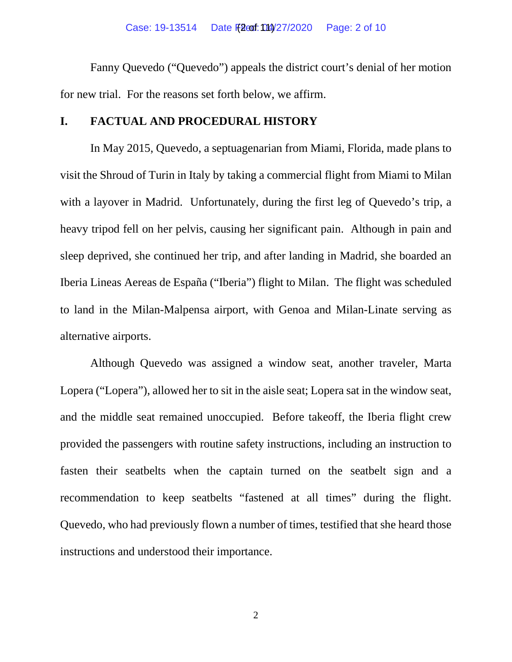Fanny Quevedo ("Quevedo") appeals the district court's denial of her motion for new trial. For the reasons set forth below, we affirm.

## **I. FACTUAL AND PROCEDURAL HISTORY**

In May 2015, Quevedo, a septuagenarian from Miami, Florida, made plans to visit the Shroud of Turin in Italy by taking a commercial flight from Miami to Milan with a layover in Madrid. Unfortunately, during the first leg of Quevedo's trip, a heavy tripod fell on her pelvis, causing her significant pain. Although in pain and sleep deprived, she continued her trip, and after landing in Madrid, she boarded an Iberia Lineas Aereas de España ("Iberia") flight to Milan. The flight was scheduled to land in the Milan-Malpensa airport, with Genoa and Milan-Linate serving as alternative airports.

Although Quevedo was assigned a window seat, another traveler, Marta Lopera ("Lopera"), allowed her to sit in the aisle seat; Lopera sat in the window seat, and the middle seat remained unoccupied. Before takeoff, the Iberia flight crew provided the passengers with routine safety instructions, including an instruction to fasten their seatbelts when the captain turned on the seatbelt sign and a recommendation to keep seatbelts "fastened at all times" during the flight. Quevedo, who had previously flown a number of times, testified that she heard those instructions and understood their importance.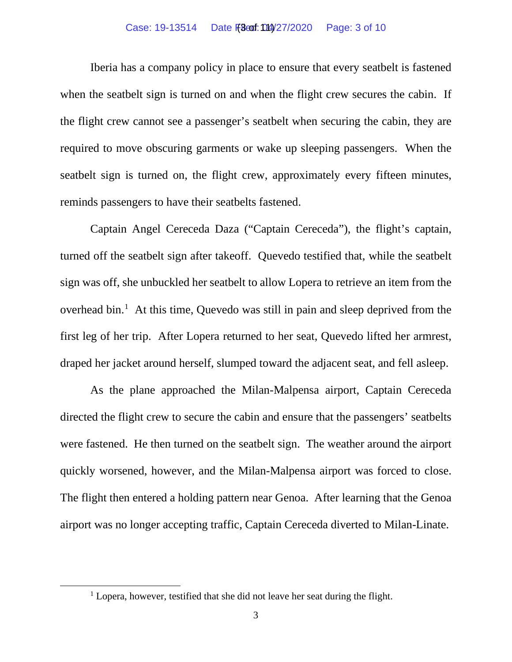### Case: 19-13514 Date Files for 104/27/2020 Page: 3 of 10

Iberia has a company policy in place to ensure that every seatbelt is fastened when the seatbelt sign is turned on and when the flight crew secures the cabin. If the flight crew cannot see a passenger's seatbelt when securing the cabin, they are required to move obscuring garments or wake up sleeping passengers. When the seatbelt sign is turned on, the flight crew, approximately every fifteen minutes, reminds passengers to have their seatbelts fastened.

Captain Angel Cereceda Daza ("Captain Cereceda"), the flight's captain, turned off the seatbelt sign after takeoff. Quevedo testified that, while the seatbelt sign was off, she unbuckled her seatbelt to allow Lopera to retrieve an item from the overhead bin.<sup>[1](#page-6-0)</sup> At this time, Quevedo was still in pain and sleep deprived from the first leg of her trip. After Lopera returned to her seat, Quevedo lifted her armrest, draped her jacket around herself, slumped toward the adjacent seat, and fell asleep.

As the plane approached the Milan-Malpensa airport, Captain Cereceda directed the flight crew to secure the cabin and ensure that the passengers' seatbelts were fastened. He then turned on the seatbelt sign. The weather around the airport quickly worsened, however, and the Milan-Malpensa airport was forced to close. The flight then entered a holding pattern near Genoa. After learning that the Genoa airport was no longer accepting traffic, Captain Cereceda diverted to Milan-Linate.

 $1$  Lopera, however, testified that she did not leave her seat during the flight.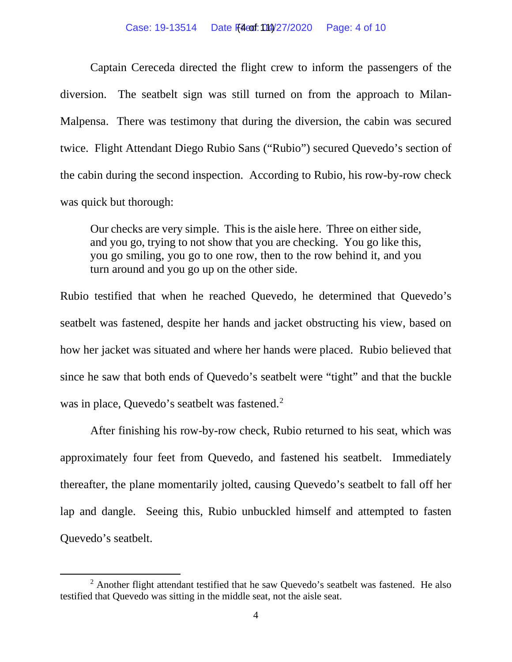### Case: 19-13514 Date File of: 014/27/2020 Page: 4 of 10

Captain Cereceda directed the flight crew to inform the passengers of the diversion. The seatbelt sign was still turned on from the approach to Milan-Malpensa. There was testimony that during the diversion, the cabin was secured twice. Flight Attendant Diego Rubio Sans ("Rubio") secured Quevedo's section of the cabin during the second inspection. According to Rubio, his row-by-row check was quick but thorough:

Our checks are very simple. This is the aisle here. Three on either side, and you go, trying to not show that you are checking. You go like this, you go smiling, you go to one row, then to the row behind it, and you turn around and you go up on the other side.

Rubio testified that when he reached Quevedo, he determined that Quevedo's seatbelt was fastened, despite her hands and jacket obstructing his view, based on how her jacket was situated and where her hands were placed. Rubio believed that since he saw that both ends of Quevedo's seatbelt were "tight" and that the buckle was in place, Quevedo's seatbelt was fastened. [2](#page-6-0)

After finishing his row-by-row check, Rubio returned to his seat, which was approximately four feet from Quevedo, and fastened his seatbelt. Immediately thereafter, the plane momentarily jolted, causing Quevedo's seatbelt to fall off her lap and dangle. Seeing this, Rubio unbuckled himself and attempted to fasten Quevedo's seatbelt.

 $2$  Another flight attendant testified that he saw Ouevedo's seatbelt was fastened. He also testified that Quevedo was sitting in the middle seat, not the aisle seat.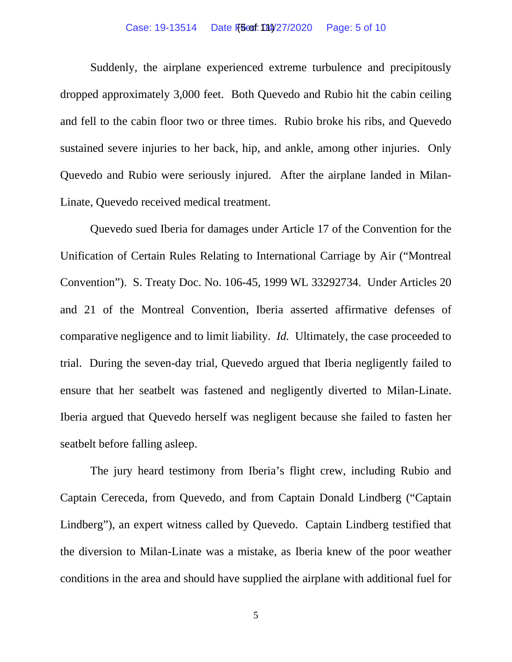### Case: 19-13514 Date File 5:04/27/2020 Page: 5 of 10

Suddenly, the airplane experienced extreme turbulence and precipitously dropped approximately 3,000 feet. Both Quevedo and Rubio hit the cabin ceiling and fell to the cabin floor two or three times. Rubio broke his ribs, and Quevedo sustained severe injuries to her back, hip, and ankle, among other injuries. Only Quevedo and Rubio were seriously injured. After the airplane landed in Milan-Linate, Quevedo received medical treatment.

Quevedo sued Iberia for damages under Article 17 of the Convention for the Unification of Certain Rules Relating to International Carriage by Air ("Montreal Convention"). S. Treaty Doc. No. 106-45, 1999 WL 33292734. Under Articles 20 and 21 of the Montreal Convention, Iberia asserted affirmative defenses of comparative negligence and to limit liability. *Id.* Ultimately, the case proceeded to trial. During the seven-day trial, Quevedo argued that Iberia negligently failed to ensure that her seatbelt was fastened and negligently diverted to Milan-Linate. Iberia argued that Quevedo herself was negligent because she failed to fasten her seatbelt before falling asleep.

The jury heard testimony from Iberia's flight crew, including Rubio and Captain Cereceda, from Quevedo, and from Captain Donald Lindberg ("Captain Lindberg"), an expert witness called by Quevedo. Captain Lindberg testified that the diversion to Milan-Linate was a mistake, as Iberia knew of the poor weather conditions in the area and should have supplied the airplane with additional fuel for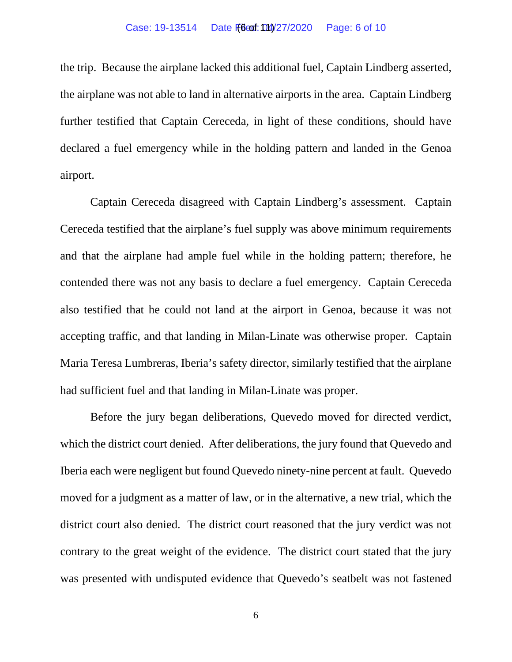the trip. Because the airplane lacked this additional fuel, Captain Lindberg asserted, the airplane was not able to land in alternative airports in the area. Captain Lindberg further testified that Captain Cereceda, in light of these conditions, should have declared a fuel emergency while in the holding pattern and landed in the Genoa airport.

Captain Cereceda disagreed with Captain Lindberg's assessment. Captain Cereceda testified that the airplane's fuel supply was above minimum requirements and that the airplane had ample fuel while in the holding pattern; therefore, he contended there was not any basis to declare a fuel emergency. Captain Cereceda also testified that he could not land at the airport in Genoa, because it was not accepting traffic, and that landing in Milan-Linate was otherwise proper. Captain Maria Teresa Lumbreras, Iberia's safety director, similarly testified that the airplane had sufficient fuel and that landing in Milan-Linate was proper.

Before the jury began deliberations, Quevedo moved for directed verdict, which the district court denied. After deliberations, the jury found that Quevedo and Iberia each were negligent but found Quevedo ninety-nine percent at fault. Quevedo moved for a judgment as a matter of law, or in the alternative, a new trial, which the district court also denied. The district court reasoned that the jury verdict was not contrary to the great weight of the evidence. The district court stated that the jury was presented with undisputed evidence that Quevedo's seatbelt was not fastened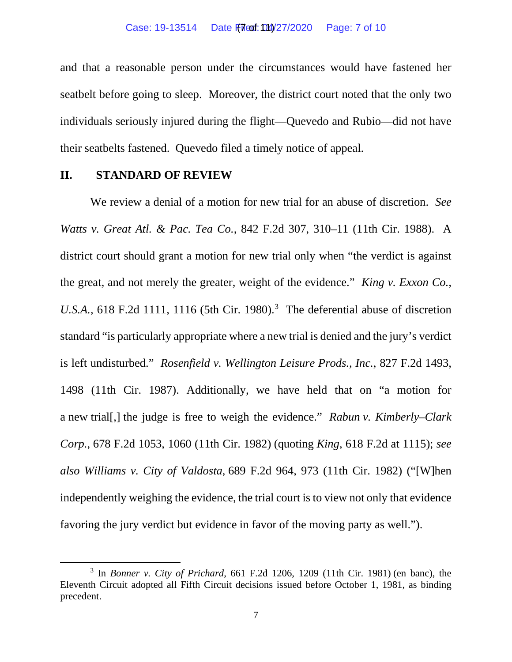and that a reasonable person under the circumstances would have fastened her seatbelt before going to sleep. Moreover, the district court noted that the only two individuals seriously injured during the flight—Quevedo and Rubio—did not have their seatbelts fastened. Quevedo filed a timely notice of appeal.

### **II. STANDARD OF REVIEW**

We review a denial of a motion for new trial for an abuse of discretion. *See Watts v. Great Atl. & Pac. Tea Co.*, 842 F.2d 307, 310–11 (11th Cir. 1988). A district court should grant a motion for new trial only when "the verdict is against the great, and not merely the greater, weight of the evidence." *King v. Exxon Co., U.S.A.*, 618 F.2d 1111, 1116 (5th Cir. 1980).<sup>[3](#page-6-0)</sup> The deferential abuse of discretion standard "is particularly appropriate where a new trial is denied and the jury's verdict is left undisturbed." *Rosenfield v. Wellington Leisure Prods., Inc.*, 827 F.2d 1493, 1498 (11th Cir. 1987). Additionally, we have held that on "a motion for a new trial[,] the judge is free to weigh the evidence." *Rabun v. Kimberly–Clark Corp.*, 678 F.2d 1053, 1060 (11th Cir. 1982) (quoting *King*, 618 F.2d at 1115); *see also Williams v. City of Valdosta*, 689 F.2d 964, 973 (11th Cir. 1982) ("[W]hen independently weighing the evidence, the trial court is to view not only that evidence favoring the jury verdict but evidence in favor of the moving party as well.").

<span id="page-6-0"></span><sup>3</sup> In *Bonner v. City of Prichard*, 661 F.2d 1206, 1209 (11th Cir. 1981) (en banc), the Eleventh Circuit adopted all Fifth Circuit decisions issued before October 1, 1981, as binding precedent.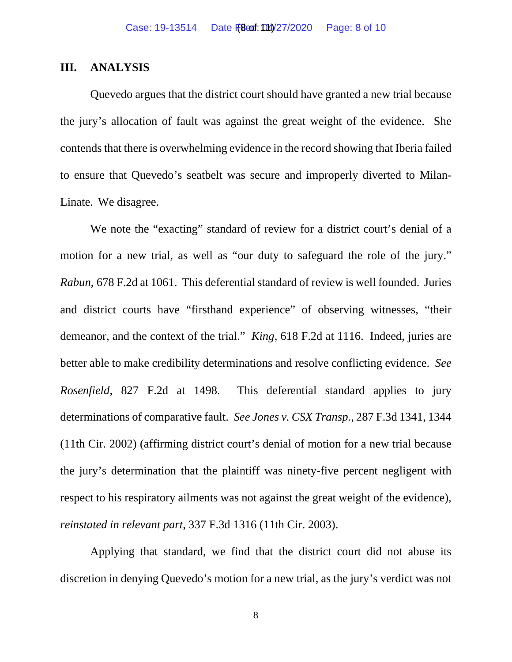## **III. ANALYSIS**

Quevedo argues that the district court should have granted a new trial because the jury's allocation of fault was against the great weight of the evidence. She contends that there is overwhelming evidence in the record showing that Iberia failed to ensure that Quevedo's seatbelt was secure and improperly diverted to Milan-Linate. We disagree.

We note the "exacting" standard of review for a district court's denial of a motion for a new trial, as well as "our duty to safeguard the role of the jury." *Rabun*, 678 F.2d at 1061. This deferential standard of review is well founded. Juries and district courts have "firsthand experience" of observing witnesses, "their demeanor, and the context of the trial." *King*, 618 F.2d at 1116. Indeed, juries are better able to make credibility determinations and resolve conflicting evidence. *See Rosenfield*, 827 F.2d at 1498. This deferential standard applies to jury determinations of comparative fault. *See Jones v. CSX Transp.*, 287 F.3d 1341, 1344 (11th Cir. 2002) (affirming district court's denial of motion for a new trial because the jury's determination that the plaintiff was ninety-five percent negligent with respect to his respiratory ailments was not against the great weight of the evidence), *reinstated in relevant part*, 337 F.3d 1316 (11th Cir. 2003).

Applying that standard, we find that the district court did not abuse its discretion in denying Quevedo's motion for a new trial, as the jury's verdict was not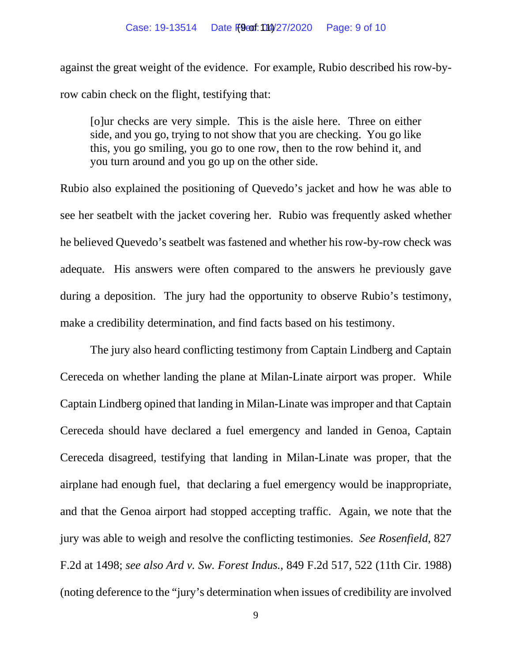against the great weight of the evidence. For example, Rubio described his row-byrow cabin check on the flight, testifying that:

[o]ur checks are very simple. This is the aisle here. Three on either side, and you go, trying to not show that you are checking. You go like this, you go smiling, you go to one row, then to the row behind it, and you turn around and you go up on the other side.

Rubio also explained the positioning of Quevedo's jacket and how he was able to see her seatbelt with the jacket covering her. Rubio was frequently asked whether he believed Quevedo's seatbelt was fastened and whether his row-by-row check was adequate. His answers were often compared to the answers he previously gave during a deposition. The jury had the opportunity to observe Rubio's testimony, make a credibility determination, and find facts based on his testimony.

The jury also heard conflicting testimony from Captain Lindberg and Captain Cereceda on whether landing the plane at Milan-Linate airport was proper. While Captain Lindberg opined that landing in Milan-Linate was improper and that Captain Cereceda should have declared a fuel emergency and landed in Genoa, Captain Cereceda disagreed, testifying that landing in Milan-Linate was proper, that the airplane had enough fuel, that declaring a fuel emergency would be inappropriate, and that the Genoa airport had stopped accepting traffic. Again, we note that the jury was able to weigh and resolve the conflicting testimonies. *See Rosenfield*, 827 F.2d at 1498; *see also Ard v. Sw. Forest Indus.*, 849 F.2d 517, 522 (11th Cir. 1988) (noting deference to the "jury's determination when issues of credibility are involved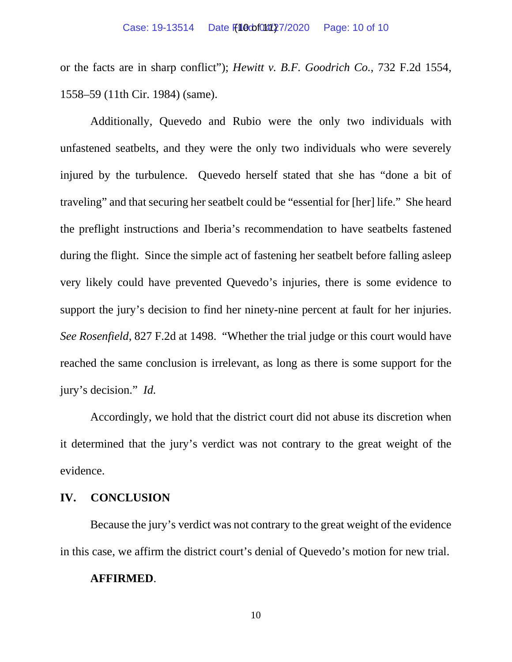or the facts are in sharp conflict"); *Hewitt v. B.F. Goodrich Co.*, 732 F.2d 1554, 1558–59 (11th Cir. 1984) (same).

Additionally, Quevedo and Rubio were the only two individuals with unfastened seatbelts, and they were the only two individuals who were severely injured by the turbulence. Quevedo herself stated that she has "done a bit of traveling" and that securing her seatbelt could be "essential for [her] life." She heard the preflight instructions and Iberia's recommendation to have seatbelts fastened during the flight. Since the simple act of fastening her seatbelt before falling asleep very likely could have prevented Quevedo's injuries, there is some evidence to support the jury's decision to find her ninety-nine percent at fault for her injuries. *See Rosenfield*, 827 F.2d at 1498. "Whether the trial judge or this court would have reached the same conclusion is irrelevant, as long as there is some support for the jury's decision." *Id.*

Accordingly, we hold that the district court did not abuse its discretion when it determined that the jury's verdict was not contrary to the great weight of the evidence.

## **IV. CONCLUSION**

Because the jury's verdict was not contrary to the great weight of the evidence in this case, we affirm the district court's denial of Quevedo's motion for new trial.

### **AFFIRMED**.

10